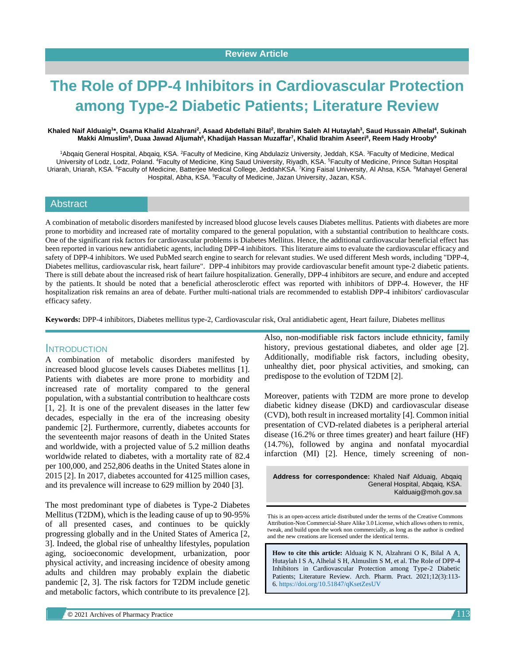# **The Role of DPP-4 Inhibitors in Cardiovascular Protection among Type-2 Diabetic Patients; Literature Review**

#### **Khaled Naif Alduaig<sup>1</sup> \*, Osama Khalid Alzahrani<sup>2</sup> , Asaad Abdellahi Bilal<sup>2</sup> , Ibrahim Saleh Al Hutaylah<sup>3</sup> , Saud Hussain Alhelal<sup>4</sup> , Sukinah Makki Almuslim<sup>5</sup> , Duaa Jawad Aljumah<sup>6</sup> , Khadijah Hassan Muzaffar<sup>7</sup> , Khalid Ibrahim Aseeri<sup>8</sup> , Reem Hady Hrooby<sup>9</sup>**

<sup>1</sup>Abqaiq General Hospital, Abqaiq, KSA. <sup>2</sup>Faculty of Medicine, King Abdulaziz University, Jeddah, KSA. <sup>3</sup>Faculty of Medicine, Medical University of Lodz, Lodz, Poland. <sup>4</sup>Faculty of Medicine, King Saud University, Riyadh, KSA. <sup>5</sup>Faculty of Medicine, Prince Sultan Hospital Uriarah, Uriarah, KSA. <sup>6</sup>Faculty of Medicine, Batterjee Medical College, JeddahKSA. <sup>7</sup>King Faisal University, Al Ahsa, KSA. <sup>8</sup>Mahayel General Hospital, Abha, KSA. <sup>9</sup>Faculty of Medicine, Jazan University, Jazan, KSA.

#### **Abstract**

A combination of metabolic disorders manifested by increased blood glucose levels causes Diabetes mellitus. Patients with diabetes are more prone to morbidity and increased rate of mortality compared to the general population, with a substantial contribution to healthcare costs. One of the significant risk factors for cardiovascular problems is Diabetes Mellitus. Hence, the additional cardiovascular beneficial effect has been reported in various new antidiabetic agents, including DPP-4 inhibitors. This literature aims to evaluate the cardiovascular efficacy and safety of DPP-4 inhibitors. We used PubMed search engine to search for relevant studies. We used different Mesh words, including "DPP-4, Diabetes mellitus, cardiovascular risk, heart failure". DPP-4 inhibitors may provide cardiovascular benefit amount type-2 diabetic patients. There is still debate about the increased risk of heart failure hospitalization. Generally, DPP-4 inhibitors are secure, and endure and accepted by the patients. It should be noted that a beneficial atherosclerotic effect was reported with inhibitors of DPP-4. However, the HF hospitalization risk remains an area of debate. Further multi-national trials are recommended to establish DPP-4 inhibitors' cardiovascular efficacy safety.

**Keywords:** DPP-4 inhibitors, Diabetes mellitus type-2, Cardiovascular risk, Oral antidiabetic agent, Heart failure, Diabetes mellitus

#### INTRODUCTION

A combination of metabolic disorders manifested by increased blood glucose levels causes Diabetes mellitus [1]. Patients with diabetes are more prone to morbidity and increased rate of mortality compared to the general population, with a substantial contribution to healthcare costs [1, 2]. It is one of the prevalent diseases in the latter few decades, especially in the era of the increasing obesity pandemic [2]. Furthermore, currently, diabetes accounts for the seventeenth major reasons of death in the United States and worldwide, with a projected value of 5.2 million deaths worldwide related to diabetes, with a mortality rate of 82.4 per 100,000, and 252,806 deaths in the United States alone in 2015 [2]. In 2017, diabetes accounted for 4125 million cases, and its prevalence will increase to 629 million by 2040 [3].

The most predominant type of diabetes is Type-2 Diabetes Mellitus (T2DM), which is the leading cause of up to 90-95% of all presented cases, and continues to be quickly progressing globally and in the United States of America [2, 3]. Indeed, the global rise of unhealthy lifestyles, population aging, socioeconomic development, urbanization, poor physical activity, and increasing incidence of obesity among adults and children may probably explain the diabetic pandemic [2, 3]. The risk factors for T2DM include genetic and metabolic factors, which contribute to its prevalence [2]. Also, non-modifiable risk factors include ethnicity, family history, previous gestational diabetes, and older age [2]. Additionally, modifiable risk factors, including obesity, unhealthy diet, poor physical activities, and smoking, can predispose to the evolution of T2DM [2].

Moreover, patients with T2DM are more prone to develop diabetic kidney disease (DKD) and cardiovascular disease (CVD), both result in increased mortality [4]. Common initial presentation of CVD-related diabetes is a peripheral arterial disease (16.2% or three times greater) and heart failure (HF) (14.7%), followed by angina and nonfatal myocardial infarction (MI) [2]. Hence, timely screening of non-

**Address for correspondence:** Khaled Naif Alduaig, Abqaiq General Hospital, Abqaiq, KSA. Kalduaig@moh.gov.sa

This is an open-access article distributed under the terms of the Creative Commons Attribution-Non Commercial-Share Alike 3.0 License, which allows others to remix, tweak, and build upon the work non commercially, as long as the author is credited and the new creations are licensed under the identical terms.

**How to cite this article:** Alduaig K N, Alzahrani O K, Bilal A A, Hutaylah I S A, Alhelal S H, Almuslim S M, et al. The Role of DPP-4 Inhibitors in Cardiovascular Protection among Type-2 Diabetic Patients; Literature Review. Arch. Pharm. Pract. 2021;12(3):113- 6. <https://doi.org/10.51847/qKsetZesUV>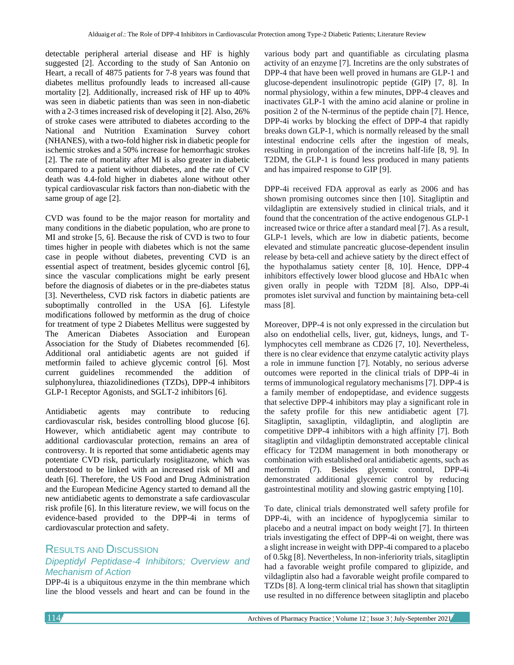detectable peripheral arterial disease and HF is highly suggested [2]. According to the study of San Antonio on Heart, a recall of 4875 patients for 7-8 years was found that diabetes mellitus profoundly leads to increased all-cause mortality [2]. Additionally, increased risk of HF up to 40% was seen in diabetic patients than was seen in non-diabetic with a 2-3 times increased risk of developing it [2]. Also, 26% of stroke cases were attributed to diabetes according to the National and Nutrition Examination Survey cohort (NHANES), with a two-fold higher risk in diabetic people for ischemic strokes and a 50% increase for hemorrhagic strokes [2]. The rate of mortality after MI is also greater in diabetic compared to a patient without diabetes, and the rate of CV death was 4.4-fold higher in diabetes alone without other typical cardiovascular risk factors than non-diabetic with the same group of age [2].

CVD was found to be the major reason for mortality and many conditions in the diabetic population, who are prone to MI and stroke [5, 6]. Because the risk of CVD is two to four times higher in people with diabetes which is not the same case in people without diabetes, preventing CVD is an essential aspect of treatment, besides glycemic control [6], since the vascular complications might be early present before the diagnosis of diabetes or in the pre-diabetes status [3]. Nevertheless, CVD risk factors in diabetic patients are suboptimally controlled in the USA [6]. Lifestyle modifications followed by metformin as the drug of choice for treatment of type 2 Diabetes Mellitus were suggested by The American Diabetes Association and European Association for the Study of Diabetes recommended [6]. Additional oral antidiabetic agents are not guided if metformin failed to achieve glycemic control [6]. Most current guidelines recommended the addition of sulphonylurea, thiazolidinediones (TZDs), DPP-4 inhibitors GLP-1 Receptor Agonists, and SGLT-2 inhibitors [6].

Antidiabetic agents may contribute to reducing cardiovascular risk, besides controlling blood glucose [6]. However, which antidiabetic agent may contribute to additional cardiovascular protection, remains an area of controversy. It is reported that some antidiabetic agents may potentiate CVD risk, particularly rosiglitazone, which was understood to be linked with an increased risk of MI and death [6]. Therefore, the US Food and Drug Administration and the European Medicine Agency started to demand all the new antidiabetic agents to demonstrate a safe cardiovascular risk profile [6]. In this literature review, we will focus on the evidence-based provided to the DPP-4i in terms of cardiovascular protection and safety.

# RESULTS AND DISCUSSION

# *Dipeptidyl Peptidase-4 Inhibitors; Overview and Mechanism of Action*

DPP-4i is a ubiquitous enzyme in the thin membrane which line the blood vessels and heart and can be found in the

various body part and quantifiable as circulating plasma activity of an enzyme [7]. Incretins are the only substrates of DPP-4 that have been well proved in humans are GLP-1 and glucose-dependent insulinotropic peptide (GIP) [7, 8]. In normal physiology, within a few minutes, DPP-4 cleaves and inactivates GLP-1 with the amino acid alanine or proline in position 2 of the N-terminus of the peptide chain [7]. Hence, DPP-4i works by blocking the effect of DPP-4 that rapidly breaks down GLP-1, which is normally released by the small intestinal endocrine cells after the ingestion of meals, resulting in prolongation of the incretins half-life [8, 9]. In T2DM, the GLP-1 is found less produced in many patients and has impaired response to GIP [9].

DPP-4i received FDA approval as early as 2006 and has shown promising outcomes since then [10]. Sitagliptin and vildagliptin are extensively studied in clinical trials, and it found that the concentration of the active endogenous GLP-1 increased twice or thrice after a standard meal [7]. As a result, GLP-1 levels, which are low in diabetic patients, become elevated and stimulate pancreatic glucose-dependent insulin release by beta-cell and achieve satiety by the direct effect of the hypothalamus satiety center [8, 10]. Hence, DPP-4 inhibitors effectively lower blood glucose and HbA1c when given orally in people with T2DM [8]. Also, DPP-4i promotes islet survival and function by maintaining beta-cell mass [8].

Moreover, DPP-4 is not only expressed in the circulation but also on endothelial cells, liver, gut, kidneys, lungs, and Tlymphocytes cell membrane as CD26 [7, 10]. Nevertheless, there is no clear evidence that enzyme catalytic activity plays a role in immune function [7]. Notably, no serious adverse outcomes were reported in the clinical trials of DPP-4i in terms of immunological regulatory mechanisms [7]. DPP-4 is a family member of endopeptidase, and evidence suggests that selective DPP-4 inhibitors may play a significant role in the safety profile for this new antidiabetic agent [7]. Sitagliptin, saxagliptin, vildagliptin, and alogliptin are competitive DPP-4 inhibitors with a high affinity [7]. Both sitagliptin and vildagliptin demonstrated acceptable clinical efficacy for T2DM management in both monotherapy or combination with established oral antidiabetic agents, such as metformin (7). Besides glycemic control, DPP-4i demonstrated additional glycemic control by reducing gastrointestinal motility and slowing gastric emptying [10].

To date, clinical trials demonstrated well safety profile for DPP-4i, with an incidence of hypoglycemia similar to placebo and a neutral impact on body weight [7]. In thirteen trials investigating the effect of DPP-4i on weight, there was a slight increase in weight with DPP-4i compared to a placebo of 0.5kg [8]. Nevertheless, In non-inferiority trials, sitagliptin had a favorable weight profile compared to glipizide, and vildagliptin also had a favorable weight profile compared to TZDs [8]. A long-term clinical trial has shown that sitagliptin use resulted in no difference between sitagliptin and placebo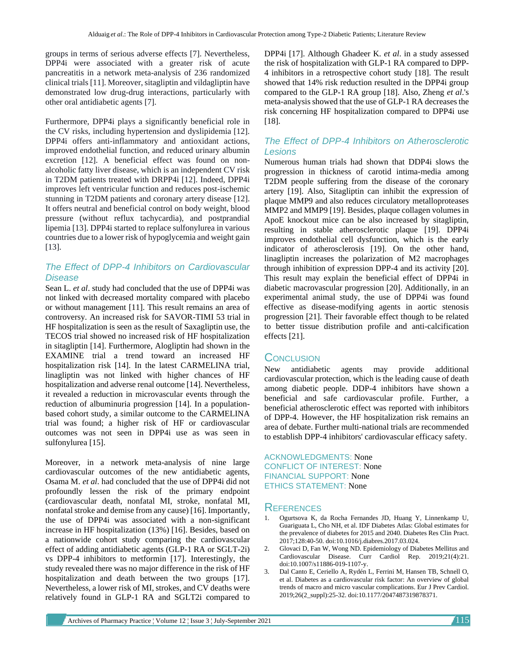groups in terms of serious adverse effects [7]. Nevertheless, DPP4i were associated with a greater risk of acute pancreatitis in a network meta-analysis of 236 randomized clinical trials [11]. Moreover, sitagliptin and vildagliptin have demonstrated low drug-drug interactions, particularly with other oral antidiabetic agents [7].

Furthermore, DPP4i plays a significantly beneficial role in the CV risks, including hypertension and dyslipidemia [12]. DPP4i offers anti-inflammatory and antioxidant actions, improved endothelial function, and reduced urinary albumin excretion [12]. A beneficial effect was found on nonalcoholic fatty liver disease, which is an independent CV risk in T2DM patients treated with DRPP4i [12]. Indeed, DPP4i improves left ventricular function and reduces post-ischemic stunning in T2DM patients and coronary artery disease [12]. It offers neutral and beneficial control on body weight, blood pressure (without reflux tachycardia), and postprandial lipemia [13]. DPP4i started to replace sulfonylurea in various countries due to a lower risk of hypoglycemia and weight gain [13].

# *The Effect of DPP-4 Inhibitors on Cardiovascular Disease*

Sean L. *et al*. study had concluded that the use of DPP4i was not linked with decreased mortality compared with placebo or without management [11]. This result remains an area of controversy. An increased risk for SAVOR-TIMI 53 trial in HF hospitalization is seen as the result of Saxagliptin use, the TECOS trial showed no increased risk of HF hospitalization in sitagliptin [14]. Furthermore, Alogliptin had shown in the EXAMINE trial a trend toward an increased HF hospitalization risk [14]. In the latest CARMELINA trial, linagliptin was not linked with higher chances of HF hospitalization and adverse renal outcome [14]. Nevertheless, it revealed a reduction in microvascular events through the reduction of albuminuria progression [14]. In a populationbased cohort study, a similar outcome to the CARMELINA trial was found; a higher risk of HF or cardiovascular outcomes was not seen in DPP4i use as was seen in sulfonylurea [15].

Moreover, in a network meta-analysis of nine large cardiovascular outcomes of the new antidiabetic agents, Osama M. *et al*. had concluded that the use of DPP4i did not profoundly lessen the risk of the primary endpoint (cardiovascular death, nonfatal MI, stroke, nonfatal MI, nonfatal stroke and demise from any cause) [16]. Importantly, the use of DPP4i was associated with a non-significant increase in HF hospitalization (13%) [16]. Besides, based on a nationwide cohort study comparing the cardiovascular effect of adding antidiabetic agents (GLP-1 RA or SGLT-2i) vs DPP-4 inhibitors to metformin [17]. Interestingly, the study revealed there was no major difference in the risk of HF hospitalization and death between the two groups [17]. Nevertheless, a lower risk of MI, strokes, and CV deaths were relatively found in GLP-1 RA and SGLT2i compared to DPP4i [17]. Although Ghadeer K. *et al*. in a study assessed the risk of hospitalization with GLP-1 RA compared to DPP-4 inhibitors in a retrospective cohort study [18]. The result showed that 14% risk reduction resulted in the DPP4i group compared to the GLP-1 RA group [18]. Also, Zheng *et al*.'s meta-analysis showed that the use of GLP-1 RA decreases the risk concerning HF hospitalization compared to DPP4i use [18].

### *The Effect of DPP-4 Inhibitors on Atherosclerotic Lesions*

Numerous human trials had shown that DDP4i slows the progression in thickness of carotid intima-media among T2DM people suffering from the disease of the coronary artery [19]. Also, Sitagliptin can inhibit the expression of plaque MMP9 and also reduces circulatory metalloproteases MMP2 and MMP9 [19]. Besides, plaque collagen volumes in ApoE knockout mice can be also increased by sitagliptin, resulting in stable atherosclerotic plaque [19]. DPP4i improves endothelial cell dysfunction, which is the early indicator of atherosclerosis [19]. On the other hand, linagliptin increases the polarization of M2 macrophages through inhibition of expression DPP-4 and its activity [20]. This result may explain the beneficial effect of DPP4i in diabetic macrovascular progression [20]. Additionally, in an experimental animal study, the use of DPP4i was found effective as disease-modifying agents in aortic stenosis progression [21]. Their favorable effect though to be related to better tissue distribution profile and anti-calcification effects [21].

# **CONCLUSION**

New antidiabetic agents may provide additional cardiovascular protection, which is the leading cause of death among diabetic people. DDP-4 inhibitors have shown a beneficial and safe cardiovascular profile. Further, a beneficial atherosclerotic effect was reported with inhibitors of DPP-4. However, the HF hospitalization risk remains an area of debate. Further multi-national trials are recommended to establish DPP-4 inhibitors' cardiovascular efficacy safety.

ACKNOWLEDGMENTS: None CONFLICT OF INTEREST: None FINANCIAL SUPPORT: None ETHICS STATEMENT: None

## **REFERENCES**

- 1. Ogurtsova K, da Rocha Fernandes JD, Huang Y, Linnenkamp U, Guariguata L, Cho NH, et al. IDF Diabetes Atlas: Global estimates for the prevalence of diabetes for 2015 and 2040. Diabetes Res Clin Pract. 2017;128:40-50. doi:10.1016/j.diabres.2017.03.024.
- 2. Glovaci D, Fan W, Wong ND. Epidemiology of Diabetes Mellitus and Cardiovascular Disease. Curr Cardiol Rep. 2019;21(4):21. doi:10.1007/s11886-019-1107-y.
- 3. Dal Canto E, Ceriello A, Rydén L, Ferrini M, Hansen TB, Schnell O, et al. Diabetes as a cardiovascular risk factor: An overview of global trends of macro and micro vascular complications. Eur J Prev Cardiol. 2019;26(2\_suppl):25-32. doi:10.1177/2047487319878371.